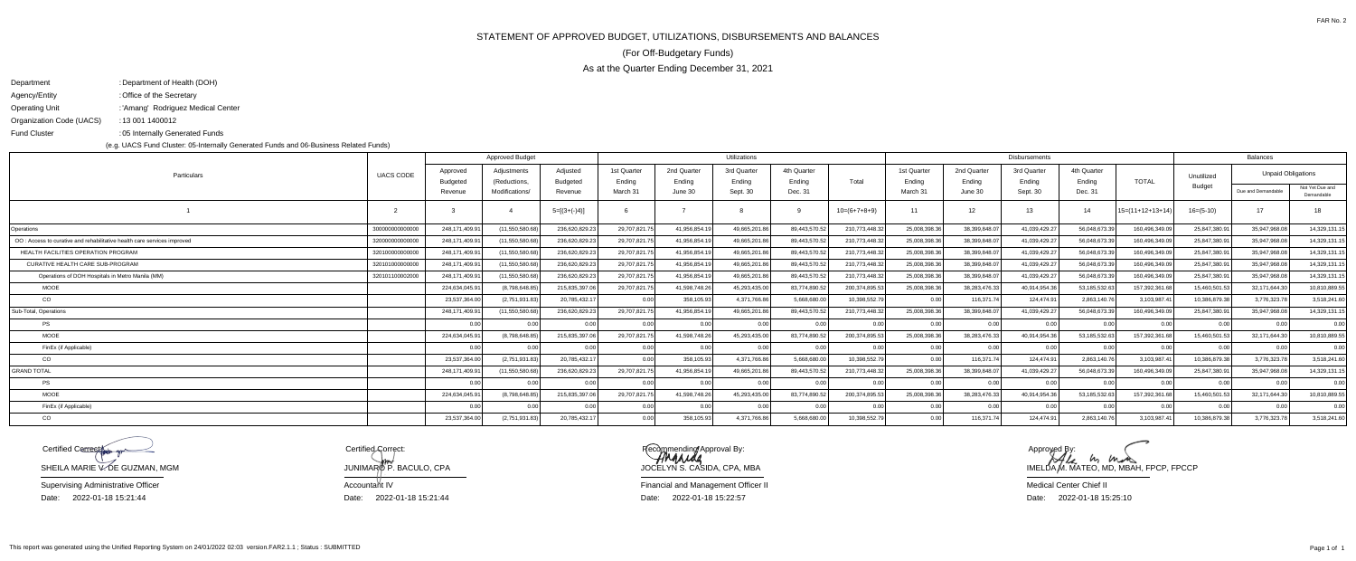STATEMENT OF APPROVED BUDGET, UTILIZATIONS, DISBURSEMENTS AND BALANCES

As at the Quarter Ending December 31, 2021

(For Off-Budgetary Funds)

| Department               | : Department of Health (DOH)       |
|--------------------------|------------------------------------|
| Agency/Entity            | : Office of the Secretary          |
| Operating Unit           | : 'Amang' Rodriguez Medical Center |
| Organization Code (UACS) | : 13 001 1400012                   |
| Fund Cluster             | :05 Internally Generated Funds     |

(e.g. UACS Fund Cluster: 05-Internally Generated Funds and 06-Business Related Funds)

Date: 2022-01-18 15:25:10 Medical Center Chief II

Recommending Approval By: JOCELYN S. CASIDA, CPA, MBA

| Particulars                                                              | <b>UACS CODE</b> | <b>Approved Budget</b>      |                             |                             |                       |                       | Utilizations          |                       |                | <b>Disbursements</b>  |                       |                       |                       |                    |                             | <b>Balances</b>           |                               |  |
|--------------------------------------------------------------------------|------------------|-----------------------------|-----------------------------|-----------------------------|-----------------------|-----------------------|-----------------------|-----------------------|----------------|-----------------------|-----------------------|-----------------------|-----------------------|--------------------|-----------------------------|---------------------------|-------------------------------|--|
|                                                                          |                  | Approved<br><b>Budgeted</b> | Adiustments<br>(Reductions, | Adiusted<br><b>Budgeted</b> | 1st Quarter<br>Ending | 2nd Quarter<br>Ending | 3rd Quarter<br>Ending | 4th Quarter<br>Ending | Total          | 1st Quarter<br>Endina | 2nd Quarter<br>Ending | 3rd Quarter<br>Ending | 4th Quarter<br>Ending | <b>TOTAL</b>       | Unutilized<br><b>Budget</b> | <b>Unpaid Obligations</b> |                               |  |
|                                                                          |                  | Revenue                     | Modifications/              | Revenue                     | March 31              | June 30               | Sept. 30              | Dec. 31               |                | March 31              | June 30               | Sept. 30              | Dec. 31               |                    |                             | Due and Demandable        | Not Yet Due and<br>Demandable |  |
|                                                                          |                  |                             |                             | $5=[(3+(-)4)]$              |                       |                       |                       |                       | $10=(6+7+8+9)$ |                       | 12 <sup>7</sup>       | 13                    | 14                    | $15=(11+12+13+14)$ | $16= (5-10)$                | 17 <sup>7</sup>           | 18                            |  |
| Operations                                                               | 300000000000000  | 248.171.409.9               | (11.550.580.68)             | 236.620.829.2               | 29.707.821.7          | 41.956.854.1          | 49.665.201.8          | 89.443.570.52         | 210,773,448.3  | 25.008.398.36         | 38.399.848.0          | 41.039.429.27         | 56.048.673.39         | 160.496.349.0      | 25.847.380.9                | 35.947.968.0              | 14,329,131.15                 |  |
| OO : Access to curative and rehabilitative health care services improved | 320000000000000  | 248.171.409.9               | (11,550,580.68)             | 236,620,829.23              | 29,707,821.7          | 41,956,854.1          | 49,665,201.8          | 89,443,570.52         | 210,773,448.3  | 25.008.398.36         | 38.399.848.0          | 41,039,429.27         | 56.048.673.39         | 160,496,349.09     | 25,847,380.9                | 35.947.968.0              | 14,329,131.15                 |  |
| <b>HEALTH FACILITIES OPERATION PROGRAM</b>                               | 320100000000000  | 248.171.409.9               | (11.550.580.68)             | 236.620.829.23              | 29.707.821.7          | 41.956.854.1          | 49.665.201.8          | 89.443.570.52         | 210,773,448.3  | 25.008.398.36         | 38.399.848.0          | 41.039.429.27         | 56.048.673.39         | 160.496.349.09     | 25.847.380.9                | 35.947.968.0              | 14,329,131.15                 |  |
| CURATIVE HEALTH CARE SUB-PROGRAM                                         | 32010100000000   | 248.171.409.9               | (11,550,580.68)             | 236,620,829.23              | 29,707,821.7          | 41.956.854.1          | 49,665,201.8          | 89,443,570.52         | 210,773,448.32 | 25,008,398.36         | 38.399.848.0          | 41,039,429.27         | 56.048.673.39         | 160,496,349.09     | 25.847.380.91               | 35.947.968.0              | 14,329,131.15                 |  |
| Operations of DOH Hospitals in Metro Manila (MM)                         | 320101100002000  | 248.171.409.9               | (11.550.580.68)             | 236,620,829.23              | 29.707.821.75         | 41.956.854.1          | 49.665.201.8          | 89.443.570.52         | 210,773,448.3  | 25.008.398.36         | 38.399.848.0          | 41.039.429.27         | 56.048.673.39         | 160.496.349.09     | 25.847.380.91               | 35.947.968.0              | 14.329.131.15                 |  |
| <b>MOOE</b>                                                              |                  | 224.634.045.9               | (8.798.648.85)              | 215,835,397.06              | 29.707.821.7          | 41.598.748.26         | 45.293.435.0          | 83.774.890.52         | 200.374.895.5  | 25,008,398.36         | 38.283.476.3          | 40,914,954.36         | 53.185.532.63         | 157,392,361.68     | 15.460.501.53               | 32.171.644.3              | 10,810,889.55                 |  |
| CO                                                                       |                  | 23.537.364.0                | (2,751,931.83)              | 20,785,432.17               | 0.00                  | 358,105.9             | 4,371,766.8           | 5.668.680.00          | 10,398,552.79  | 0.00                  | 116,371.7             | 124,474.91            | 2,863,140.76          | 3,103,987.4        | 10.386.879.38               | 3,776,323.7               | 3,518,241.60                  |  |
| Sub-Total, Operations                                                    |                  | 248.171.409.9               | (11.550.580.68)             | 236.620.829.2               | 29.707.821.7          | 41.956.854.           | 49.665.201.8          | 89.443.570.52         | 210.773.448.3  | 25.008.398.36         | 38.399.848.0          | 41.039.429.27         | 56.048.673.39         | 160.496.349.09     | 25.847.380.9                | 35.947.968.0              | 14,329,131.15                 |  |
| PS                                                                       |                  | 0 <sub>0</sub>              | 0.00                        | 0.00                        | 0.001                 | 0.00                  | 0.00                  | 0.00                  | 0.00           | 0.00                  | 0 <sub>0</sub>        | 0.00                  | 0.00                  | 0.00               | 0.00                        | 0 <sub>0</sub>            | 0.00                          |  |
| <b>MOOE</b>                                                              |                  | 224,634,045.9               | (8.798.648.85)              | 215,835,397.06              | 29,707,821.7          | 41.598.748.2          | 45.293.435.0          | 83.774.890.52         | 200,374,895.5  | 25.008.398.36         | 38,283,476.33         | 40.914.954.36         | 53.185.532.63         | 157,392,361.6      | 15,460,501.53               | 32,171,644.3              | 10,810,889.55                 |  |
| FinEx (if Applicable)                                                    |                  | $\cap$ $\cap$               | $\Omega$ 00                 | 0.00                        | 0.001                 | 0.00                  | 0.00                  | 0.00                  | 0.00           | 0.00                  | 0 <sub>0</sub>        | 0.00                  | 0 <sub>0</sub>        | 0.00               | 0.00                        | 0 <sub>0</sub>            | 0.00                          |  |
| CO                                                                       |                  | 23.537.364.0                | (2,751,931.83)              | 20,785,432.17               | 0.00                  | 358,105.9             | 4,371,766.8           | 5.668.680.00          | 10.398.552.79  | 0.00                  | 116,371.7             | 124,474.91            | 2.863.140.76          | 3,103,987.4        | 10.386.879.38               | 3,776,323.7               | 3,518,241.60                  |  |
| <b>GRAND TOTAL</b>                                                       |                  | 248.171.409.9               | (11.550.580.68)             | 236.620.829.23              | 29.707.821.7          | 41.956.854.1          | 49.665.201.8          | 89.443.570.52         | 210.773.448.3  | 25.008.398.36         | 38.399.848.0          | 41.039.429.27         | 56.048.673.39         | 160.496.349.09     | 25.847.380.9                | 35.947.968.0              | 14,329,131.15                 |  |
| PS                                                                       |                  |                             | 0.00                        | 0.00                        | 0.00                  |                       | 0.00                  | 0.00                  | 0.00           | n nn                  | 0 <sub>0</sub>        | 0.00                  | 0.00                  | 0.00               | 0.00                        | 0 <sub>0</sub>            | 0.00                          |  |
| <b>MOOE</b>                                                              |                  | 224,634,045.9               | (8.798.648.85)              | 215,835,397.06              | 29,707,821.7          | 41.598.748.2          | 45.293.435.0          | 83.774.890.52         | 200,374,895.5  | 25,008,398.36         | 38,283,476.3          | 40.914.954.36         | 53.185.532.63         | 157,392,361.6      | 15,460,501.53               | 32,171,644.3              | 10,810,889.55                 |  |
| FinEx (if Applicable)                                                    |                  |                             | 0.00                        | 0.00                        | 0.00                  | n nr                  | 0 <sub>0</sub>        | 0.00                  | 0.00           | 0.00                  | $\Omega$              | 0.001                 | n no                  | 0.00               |                             | $\cap$                    | 0.00                          |  |
| CO                                                                       |                  | 23,537,364.0                | (2,751,931.83)              | 20,785,432.1                | 0.00 <sub>l</sub>     | 358,105.9             | 4,371,766.8           | 5.668.680.00          | 10.398.552.79  | 0.00                  | 116,371.7             | 124,474.91            | 2.863.140.76          | 3,103,987.4        | 10.386.879.38               | 3,776,323.7               | 3,518,241.60                  |  |

SHEILA MARIE V. DE GUZMAN, MGM Date: 2022-01-18 15:21:44 Supervising Administrative OfficerCertified Correct

Certified Gorrect: Accountant IV JUNIMAR $\phi$ P. BACULO, CPA

Financial and Management Officer IIDate: 2022-01-18 15:22:57 Date: Date: Date: 2022-01-18 15:21:44

This report was generated using the Unified Reporting System on 24/01/2022 02:03 version.FAR2.1.1 ; Status : SUBMITTED

 $M_{\ell}$   $M_{\ell}$   $M_{\ell}$   $M_{\ell}$   $M_{\ell}$   $M_{\ell}$   $M_{\ell}$ , FPCP, FPCCP Approyed B